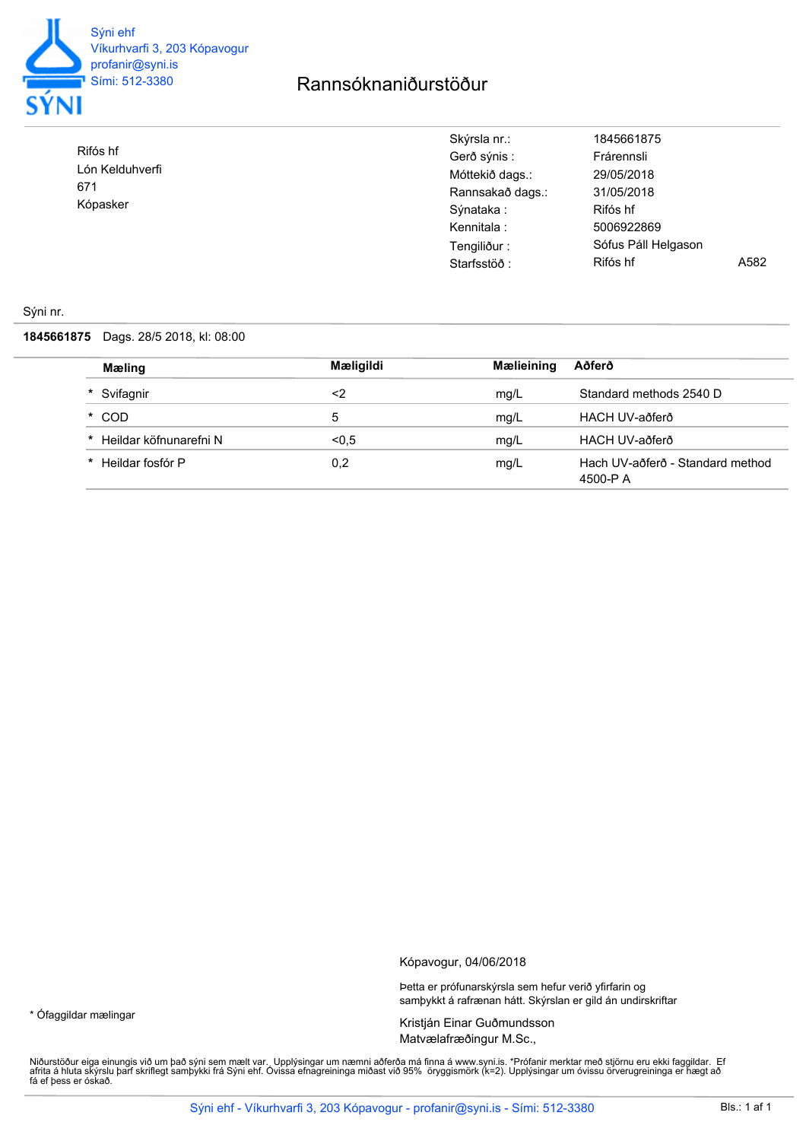

Rifós hf

671 Kópasker

\* Ófaggildar mælingar

Lón Kelduhverfi

## Rannsóknaniðurstöður

| Skýrsla nr.:     | 1845661875          |      |
|------------------|---------------------|------|
| Gerð sýnis :     | Frárennsli          |      |
| Móttekið dags.:  | 29/05/2018          |      |
| Rannsakað dags.: | 31/05/2018          |      |
| Sýnataka :       | Rifós hf            |      |
| Kennitala :      | 5006922869          |      |
| Tengiliður:      | Sófus Páll Helgason |      |
| Starfsstöð:      | Rifós hf            | A582 |

## Sýni nr.

**1845661875** Dags. 28/5 2018, kl: 08:00

| Mæling                      | Mæligildi | Mælieining | Aðferð                                       |
|-----------------------------|-----------|------------|----------------------------------------------|
| * Svifagnir                 | <2        | mg/L       | Standard methods 2540 D                      |
| * COD                       | 5         | mg/L       | HACH UV-aðferð                               |
| Heildar köfnunarefni N<br>* | < 0.5     | mg/L       | HACH UV-aðferð                               |
| Heildar fosfór P<br>$\star$ | 0,2       | mg/L       | Hach UV-aðferð - Standard method<br>4500-P A |

Kópavogur, 04/06/2018

Þetta er prófunarskýrsla sem hefur verið yfirfarin og samþykkt á rafrænan hátt. Skýrslan er gild án undirskriftar

Kristján Einar Guðmundsson Matvælafræðingur M.Sc.,

Niðurstöður eiga einungis við um það sýni sem mælt var., Upplýsingar um næmni aðferða má finna á www.syni.is. \*Prófanir merktar með stjörnu eru ekki faggildar. Ef<br>afrita á hluta skýrslu þarf skriflegt samþykki frá Sýni eh